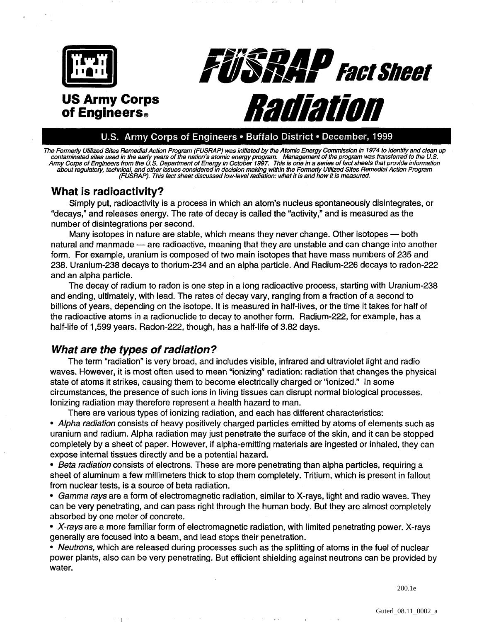

#### U.S. Army Corps of Engineers . Buffalo District . December, 1999

The Formerly Utilized Sites Remedial Action Program (FUSRAP) was initiated by the Atomic Energy Commission in 1974 to identify and clean up<br>contaminated sites used in the early years of the nation's atomic energy program. Army Corps of Engineers from the U.S. Department of Energy in October 1997. This is one in a series of fact sheets that provide information<br>about regulatory, technical, and other issues considered in decision making within

# **What is radioactivity?**

Simply put, radioactivity is a process in which an atom's nucleus spontaneously disintegrates, or "decays," and releases energy. The rate of decay is called the "activity," and is measured as the number of disintegrations per second.

Many isotopes in nature are stable, which means they never change. Other isotopes — both natural and manmade - are radioactive, meaning that they are unstable and can change into another form. For example, uranium is composed of two main isotopes that have mass numbers of 235 and 238. Uranium-238 decays to thorium-234. and an alpha particle. And Radium-226 decays to radon-222 and an alpha particle.

The decay of radium to radon is one step in a long radioactive process, starting with Uranium-238 and ending, ultimately, with lead. The rates of decay vary, ranging from a fraction of a second to billions of years, depending on the isotope. It is measured in half-lives, or the time it takes for half of the radioactive atoms in a radionuclide to decay to another form. Radium-222, for example, has a half-life of 1,599 years. Radon-222, though, has a half-life of 3.82 days.

### **What are the types of radiation?**

The term "radiation" is very broad, and includes visible, infrared and ultraviolet light and radio waves. However, it is most often used to mean "ionizing" radiation: radiation that changes the physical state of atoms it strikes, causing them to become electrically charged or "ionized." In some circumstances, the presence of such ions in living tissues can disrupt normal biological processes. Ionizing radiation may therefore represent a health hazard to man.

There are various types of ionizing radiation, and each has different characteristics: **Alpha radiation** consists of heavy positively charged particles emitted by atoms of elements such as uranium and radium. Alpha radiation may just penetrate the surface of the skin, and it can be stopped completely by a sheet of paper. However, if alpha-emitting materials are ingested or inhaled, they can expose internal tissues directly and be a potential hazard.

**Beta radiation** consists of electrons. These are more penetrating than alpha particles, requiring a sheet of aluminum a few millimeters thick to stop them completely. Tritium, which is present in fallout from nuclear tests, is a source of beta radiation.

**Gamma rays** are a form of electromagnetic radiation, similar to X-rays, light and radio waves. They can be very penetrating, and can pass right through the human body. But they are almost completely absorbed by one meter of concrete.

**X-rays** are a more familiar form of electromagnetic radiation, with limited penetrating power. X-rays generally are focused into a beam, and lead stops their penetration.

**Neutrons,** which are released during processes such as the splitting of atoms in the fuel of nuclear power plants, also can be very penetrating. But efficient shielding against neutrons can be provided by water.

200.1e